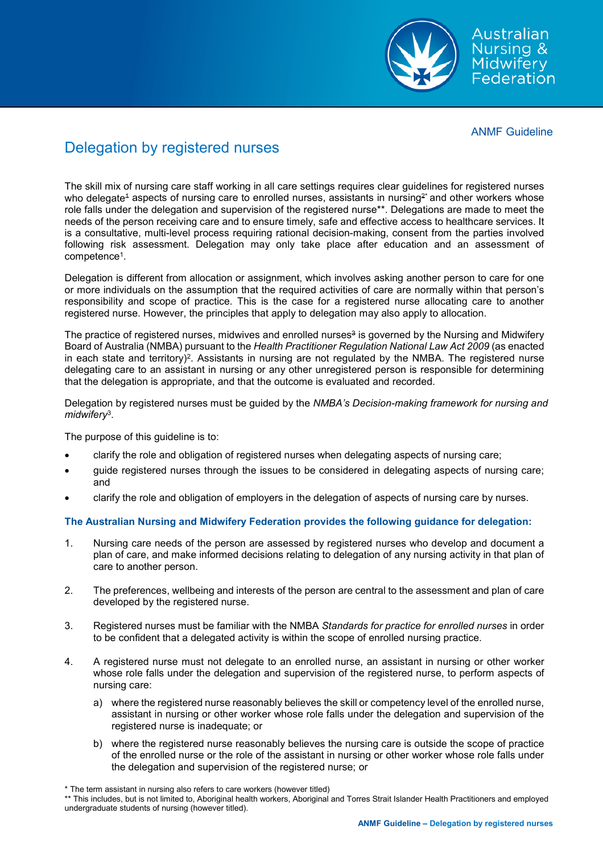

Australian Nursing & **Midwifery** Federation

ANMF Guideline

# Delegation by registered nurses

The skill mix of nursing care staff working in all care settings requires clear guidelines for registered nurses who delegate<sup>4</sup> aspects of nursing care to enrolled nurses, assistants in nursing<sup>2\*</sup> and other workers whose role falls under the delegation and supervision of the registered nurse\*\*. Delegations are made to meet the needs of the person receiving care and to ensure timely, safe and effective access to healthcare services. It is a consultative, multi-level process requiring rational decision-making, consent from the parties involved following risk assessment. Delegation may only take place after education and an assessment of competence1.

Delegation is different from allocation or assignment, which involves asking another person to care for one or more individuals on the assumption that the required activities of care are normally within that person's responsibility and scope of practice. This is the case for a registered nurse allocating care to another registered nurse. However, the principles that apply to delegation may also apply to allocation.

The practice of registered nurses, midwives and enrolled nurses<sup>3</sup> is governed by the Nursing and Midwifery Board of Australia (NMBA) pursuant to the *Health Practitioner Regulation National Law Act 2009* (as enacted in each state and territory)<sup>2</sup>. Assistants in nursing are not regulated by the NMBA. The registered nurse delegating care to an assistant in nursing or any other unregistered person is responsible for determining that the delegation is appropriate, and that the outcome is evaluated and recorded.

Delegation by registered nurses must be guided by the *NMBA's Decision-making framework for nursing and midwifery*3.

The purpose of this guideline is to:

- clarify the role and obligation of registered nurses when delegating aspects of nursing care;
- guide registered nurses through the issues to be considered in delegating aspects of nursing care; and
- clarify the role and obligation of employers in the delegation of aspects of nursing care by nurses.

## **The Australian Nursing and Midwifery Federation provides the following guidance for delegation:**

- 1. Nursing care needs of the person are assessed by registered nurses who develop and document a plan of care, and make informed decisions relating to delegation of any nursing activity in that plan of care to another person.
- 2. The preferences, wellbeing and interests of the person are central to the assessment and plan of care developed by the registered nurse.
- 3. Registered nurses must be familiar with the NMBA *Standards for practice for enrolled nurses* in order to be confident that a delegated activity is within the scope of enrolled nursing practice.
- 4. A registered nurse must not delegate to an enrolled nurse, an assistant in nursing or other worker whose role falls under the delegation and supervision of the registered nurse, to perform aspects of nursing care:
	- a) where the registered nurse reasonably believes the skill or competency level of the enrolled nurse, assistant in nursing or other worker whose role falls under the delegation and supervision of the registered nurse is inadequate; or
	- b) where the registered nurse reasonably believes the nursing care is outside the scope of practice of the enrolled nurse or the role of the assistant in nursing or other worker whose role falls under the delegation and supervision of the registered nurse; or

<sup>\*</sup> The term assistant in nursing also refers to care workers (however titled)

<sup>\*\*</sup> This includes, but is not limited to, Aboriginal health workers, Aboriginal and Torres Strait Islander Health Practitioners and employed undergraduate students of nursing (however titled).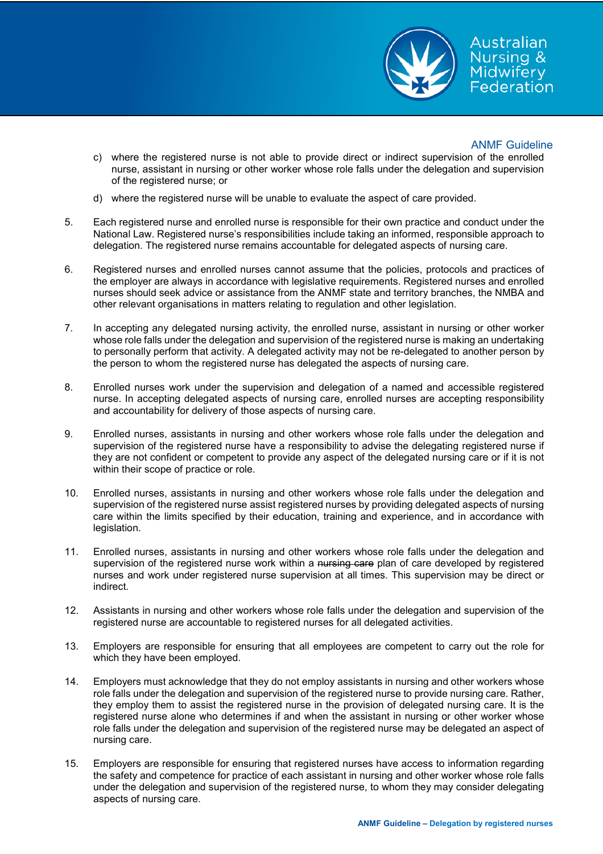

### ANMF Guideline

Australian Nursing & **Midwifery** Federation

- c) where the registered nurse is not able to provide direct or indirect supervision of the enrolled nurse, assistant in nursing or other worker whose role falls under the delegation and supervision of the registered nurse; or
- d) where the registered nurse will be unable to evaluate the aspect of care provided.
- 5. Each registered nurse and enrolled nurse is responsible for their own practice and conduct under the National Law. Registered nurse's responsibilities include taking an informed, responsible approach to delegation. The registered nurse remains accountable for delegated aspects of nursing care.
- 6. Registered nurses and enrolled nurses cannot assume that the policies, protocols and practices of the employer are always in accordance with legislative requirements. Registered nurses and enrolled nurses should seek advice or assistance from the ANMF state and territory branches, the NMBA and other relevant organisations in matters relating to regulation and other legislation.
- 7. In accepting any delegated nursing activity, the enrolled nurse, assistant in nursing or other worker whose role falls under the delegation and supervision of the registered nurse is making an undertaking to personally perform that activity. A delegated activity may not be re-delegated to another person by the person to whom the registered nurse has delegated the aspects of nursing care.
- 8. Enrolled nurses work under the supervision and delegation of a named and accessible registered nurse. In accepting delegated aspects of nursing care, enrolled nurses are accepting responsibility and accountability for delivery of those aspects of nursing care.
- 9. Enrolled nurses, assistants in nursing and other workers whose role falls under the delegation and supervision of the registered nurse have a responsibility to advise the delegating registered nurse if they are not confident or competent to provide any aspect of the delegated nursing care or if it is not within their scope of practice or role.
- 10. Enrolled nurses, assistants in nursing and other workers whose role falls under the delegation and supervision of the registered nurse assist registered nurses by providing delegated aspects of nursing care within the limits specified by their education, training and experience, and in accordance with legislation.
- 11. Enrolled nurses, assistants in nursing and other workers whose role falls under the delegation and supervision of the registered nurse work within a nursing care plan of care developed by registered nurses and work under registered nurse supervision at all times. This supervision may be direct or indirect.
- 12. Assistants in nursing and other workers whose role falls under the delegation and supervision of the registered nurse are accountable to registered nurses for all delegated activities.
- 13. Employers are responsible for ensuring that all employees are competent to carry out the role for which they have been employed.
- 14. Employers must acknowledge that they do not employ assistants in nursing and other workers whose role falls under the delegation and supervision of the registered nurse to provide nursing care. Rather, they employ them to assist the registered nurse in the provision of delegated nursing care. It is the registered nurse alone who determines if and when the assistant in nursing or other worker whose role falls under the delegation and supervision of the registered nurse may be delegated an aspect of nursing care.
- 15. Employers are responsible for ensuring that registered nurses have access to information regarding the safety and competence for practice of each assistant in nursing and other worker whose role falls under the delegation and supervision of the registered nurse, to whom they may consider delegating aspects of nursing care.